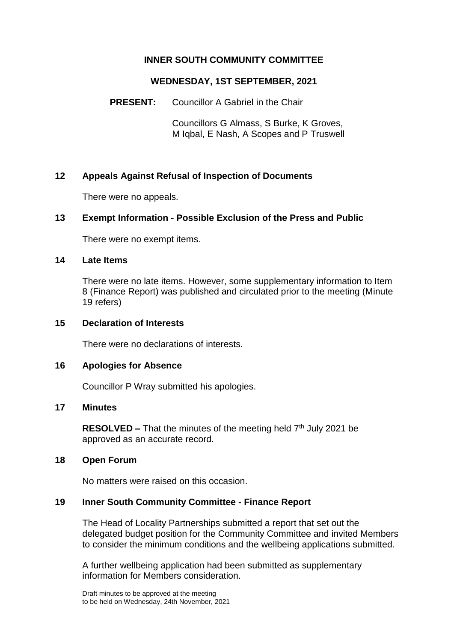# **INNER SOUTH COMMUNITY COMMITTEE**

# **WEDNESDAY, 1ST SEPTEMBER, 2021**

**PRESENT:** Councillor A Gabriel in the Chair

Councillors G Almass, S Burke, K Groves, M Iqbal, E Nash, A Scopes and P Truswell

# **12 Appeals Against Refusal of Inspection of Documents**

There were no appeals.

# **13 Exempt Information - Possible Exclusion of the Press and Public**

There were no exempt items.

#### **14 Late Items**

There were no late items. However, some supplementary information to Item 8 (Finance Report) was published and circulated prior to the meeting (Minute 19 refers)

## **15 Declaration of Interests**

There were no declarations of interests.

#### **16 Apologies for Absence**

Councillor P Wray submitted his apologies.

#### **17 Minutes**

**RESOLVED –** That the minutes of the meeting held 7<sup>th</sup> July 2021 be approved as an accurate record.

#### **18 Open Forum**

No matters were raised on this occasion.

#### **19 Inner South Community Committee - Finance Report**

The Head of Locality Partnerships submitted a report that set out the delegated budget position for the Community Committee and invited Members to consider the minimum conditions and the wellbeing applications submitted.

A further wellbeing application had been submitted as supplementary information for Members consideration.

Draft minutes to be approved at the meeting to be held on Wednesday, 24th November, 2021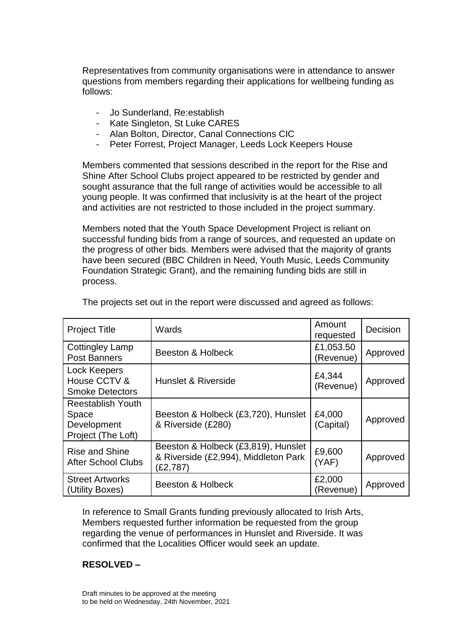Representatives from community organisations were in attendance to answer questions from members regarding their applications for wellbeing funding as follows:

- Jo Sunderland, Re:establish
- Kate Singleton, St Luke CARES
- Alan Bolton, Director, Canal Connections CIC
- Peter Forrest, Project Manager, Leeds Lock Keepers House

Members commented that sessions described in the report for the Rise and Shine After School Clubs project appeared to be restricted by gender and sought assurance that the full range of activities would be accessible to all young people. It was confirmed that inclusivity is at the heart of the project and activities are not restricted to those included in the project summary.

Members noted that the Youth Space Development Project is reliant on successful funding bids from a range of sources, and requested an update on the progress of other bids. Members were advised that the majority of grants have been secured (BBC Children in Need, Youth Music, Leeds Community Foundation Strategic Grant), and the remaining funding bids are still in process.

| <b>Project Title</b>                                                   | Wards                                                                                   | Amount<br>requested    | Decision |
|------------------------------------------------------------------------|-----------------------------------------------------------------------------------------|------------------------|----------|
| <b>Cottingley Lamp</b><br><b>Post Banners</b>                          | <b>Beeston &amp; Holbeck</b>                                                            | £1,053.50<br>(Revenue) | Approved |
| <b>Lock Keepers</b><br>House CCTV &<br><b>Smoke Detectors</b>          | Hunslet & Riverside                                                                     | £4,344<br>(Revenue)    | Approved |
| <b>Reestablish Youth</b><br>Space<br>Development<br>Project (The Loft) | Beeston & Holbeck (£3,720), Hunslet<br>& Riverside (£280)                               | £4,000<br>(Capital)    | Approved |
| <b>Rise and Shine</b><br><b>After School Clubs</b>                     | Beeston & Holbeck (£3,819), Hunslet<br>& Riverside (£2,994), Middleton Park<br>(£2,787) | £9,600<br>(YAF)        | Approved |
| <b>Street Artworks</b><br>(Utility Boxes)                              | Beeston & Holbeck                                                                       | £2,000<br>(Revenue)    | Approved |

The projects set out in the report were discussed and agreed as follows:

In reference to Small Grants funding previously allocated to Irish Arts, Members requested further information be requested from the group regarding the venue of performances in Hunslet and Riverside. It was confirmed that the Localities Officer would seek an update.

# **RESOLVED –**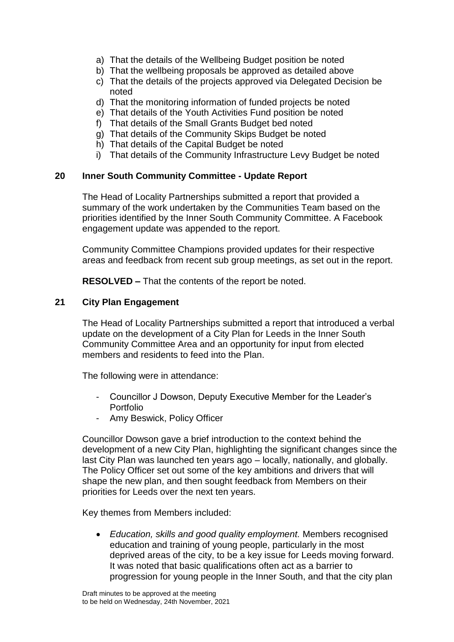- a) That the details of the Wellbeing Budget position be noted
- b) That the wellbeing proposals be approved as detailed above
- c) That the details of the projects approved via Delegated Decision be noted
- d) That the monitoring information of funded projects be noted
- e) That details of the Youth Activities Fund position be noted
- f) That details of the Small Grants Budget bed noted
- g) That details of the Community Skips Budget be noted
- h) That details of the Capital Budget be noted
- i) That details of the Community Infrastructure Levy Budget be noted

## **20 Inner South Community Committee - Update Report**

The Head of Locality Partnerships submitted a report that provided a summary of the work undertaken by the Communities Team based on the priorities identified by the Inner South Community Committee. A Facebook engagement update was appended to the report.

Community Committee Champions provided updates for their respective areas and feedback from recent sub group meetings, as set out in the report.

**RESOLVED –** That the contents of the report be noted.

## **21 City Plan Engagement**

The Head of Locality Partnerships submitted a report that introduced a verbal update on the development of a City Plan for Leeds in the Inner South Community Committee Area and an opportunity for input from elected members and residents to feed into the Plan.

The following were in attendance:

- Councillor J Dowson, Deputy Executive Member for the Leader's Portfolio
- Amy Beswick, Policy Officer

Councillor Dowson gave a brief introduction to the context behind the development of a new City Plan, highlighting the significant changes since the last City Plan was launched ten years ago – locally, nationally, and globally. The Policy Officer set out some of the key ambitions and drivers that will shape the new plan, and then sought feedback from Members on their priorities for Leeds over the next ten years.

Key themes from Members included:

 *Education, skills and good quality employment.* Members recognised education and training of young people, particularly in the most deprived areas of the city, to be a key issue for Leeds moving forward. It was noted that basic qualifications often act as a barrier to progression for young people in the Inner South, and that the city plan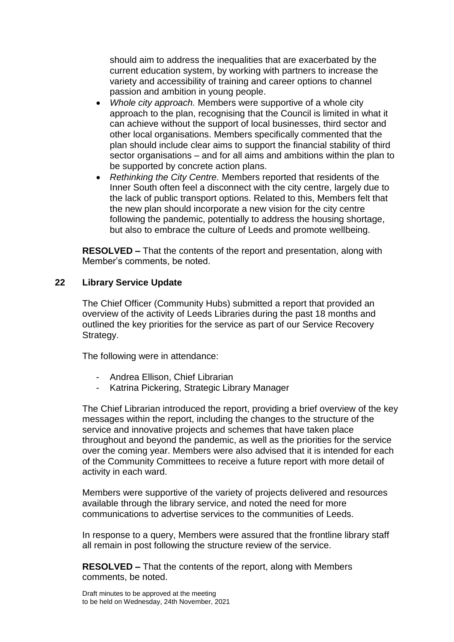should aim to address the inequalities that are exacerbated by the current education system, by working with partners to increase the variety and accessibility of training and career options to channel passion and ambition in young people.

- *Whole city approach.* Members were supportive of a whole city approach to the plan, recognising that the Council is limited in what it can achieve without the support of local businesses, third sector and other local organisations. Members specifically commented that the plan should include clear aims to support the financial stability of third sector organisations – and for all aims and ambitions within the plan to be supported by concrete action plans.
- *Rethinking the City Centre.* Members reported that residents of the Inner South often feel a disconnect with the city centre, largely due to the lack of public transport options. Related to this, Members felt that the new plan should incorporate a new vision for the city centre following the pandemic, potentially to address the housing shortage, but also to embrace the culture of Leeds and promote wellbeing.

**RESOLVED –** That the contents of the report and presentation, along with Member's comments, be noted.

## **22 Library Service Update**

The Chief Officer (Community Hubs) submitted a report that provided an overview of the activity of Leeds Libraries during the past 18 months and outlined the key priorities for the service as part of our Service Recovery Strategy.

The following were in attendance:

- Andrea Ellison, Chief Librarian
- Katrina Pickering, Strategic Library Manager

The Chief Librarian introduced the report, providing a brief overview of the key messages within the report, including the changes to the structure of the service and innovative projects and schemes that have taken place throughout and beyond the pandemic, as well as the priorities for the service over the coming year. Members were also advised that it is intended for each of the Community Committees to receive a future report with more detail of activity in each ward.

Members were supportive of the variety of projects delivered and resources available through the library service, and noted the need for more communications to advertise services to the communities of Leeds.

In response to a query, Members were assured that the frontline library staff all remain in post following the structure review of the service.

**RESOLVED –** That the contents of the report, along with Members comments, be noted.

Draft minutes to be approved at the meeting to be held on Wednesday, 24th November, 2021